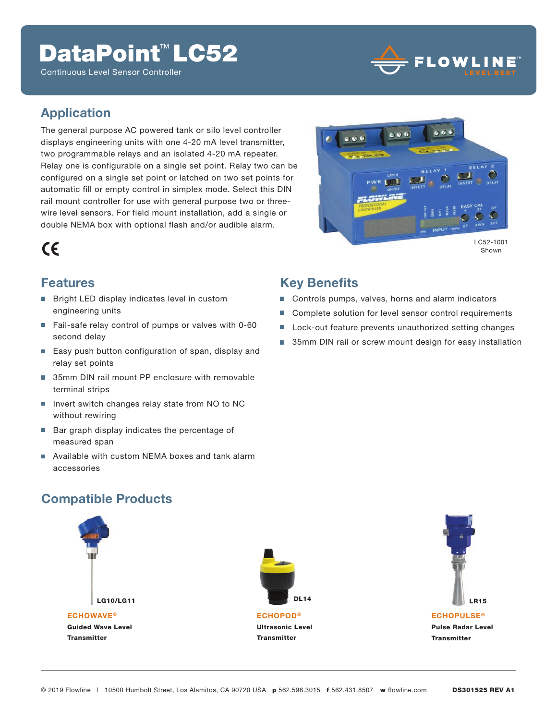## DataPoint<sup>™</sup> LC52

Continuous Level Sensor Controller



#### **Application**

The general purpose AC powered tank or silo level controller displays engineering units with one 4-20 mA level transmitter, two programmable relays and an isolated 4-20 mA repeater. Relay one is configurable on a single set point. Relay two can be configured on a single set point or latched on two set points for automatic fill or empty control in simplex mode. Select this DIN rail mount controller for use with general purpose two or threewire level sensors. For field mount installation, add a single or double NEMA box with optional flash and/or audible alarm.



Shown

#### **Features**

 $\epsilon$ 

- Bright LED display indicates level in custom engineering units
- Fail-safe relay control of pumps or valves with 0-60 second delay
- Easy push button configuration of span, display and relay set points
- 35mm DIN rail mount PP enclosure with removable terminal strips
- m. Invert switch changes relay state from NO to NC without rewiring
- Bar graph display indicates the percentage of measured span
- Available with custom NEMA boxes and tank alarm accessories

### **Key Benefits**

- Controls pumps, valves, horns and alarm indicators
- Complete solution for level sensor control requirements
- **Lock-out feature prevents unauthorized setting changes**
- 35mm DIN rail or screw mount design for easy installation

### **Compatible Products**